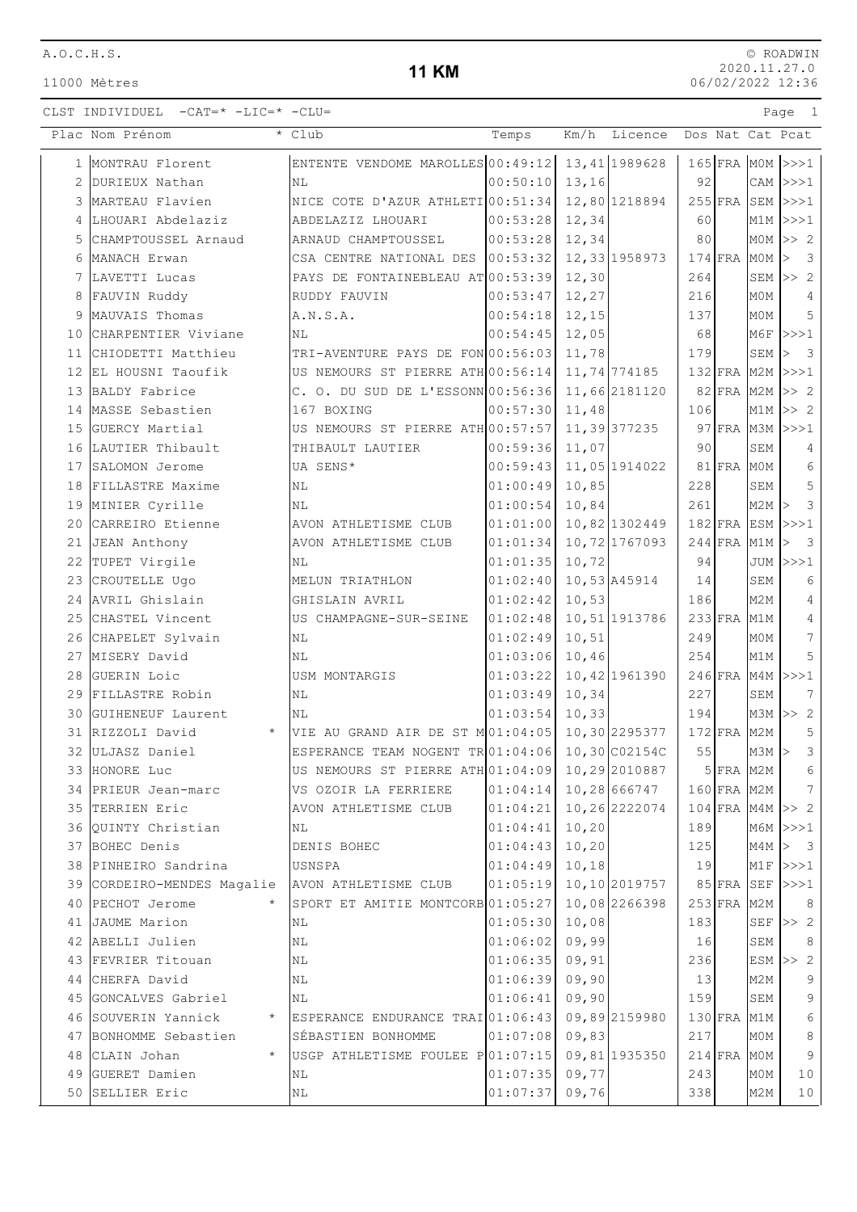11000 Mètres

### **11 KM**

|                | Plac Nom Prénom                | * Club                                           | Temps    | Km/h<br>Licence |     |               |     | Dos Nat Cat Pcat                   |
|----------------|--------------------------------|--------------------------------------------------|----------|-----------------|-----|---------------|-----|------------------------------------|
|                | 1 MONTRAU Florent              | ENTENTE VENDOME MAROLLES 00:49:12 13, 41 1989628 |          |                 |     |               |     | $165$ FRA MOM >>>1                 |
| $\overline{2}$ | DURIEUX Nathan                 | ΝL                                               | 00:50:10 | 13,16           | 92  |               |     | $CAM$ $>>$ $1$                     |
| 3              | MARTEAU Flavien                | NICE COTE D'AZUR ATHLETI 00:51:34                |          | 12,80 1218894   |     | $255$ FRA     |     | SEM >>>1                           |
| 4              | LHOUARI Abdelaziz              | ABDELAZIZ LHOUARI                                | 00:53:28 | 12,34           | 60  |               |     | $M1M$ $>>$ $1$                     |
| 5              | CHAMPTOUSSEL Arnaud            | ARNAUD CHAMPTOUSSEL                              | 00:53:28 | 12,34           | 80  |               |     | $MOM$ $>>$ 2                       |
| 6              | MANACH Erwan                   | CSA CENTRE NATIONAL DES 00:53:32                 |          | 12,33 1958 973  |     | $174$ FRA     | M0M | $\overline{\mathbf{3}}$<br>$\geq$  |
|                | 7 LAVETTI Lucas                | PAYS DE FONTAINEBLEAU AT 00:53:39                |          | 12,30           | 264 |               |     | SEM $>> 2$                         |
| 8              | FAUVIN Ruddy                   | RUDDY FAUVIN                                     | 00:53:47 | 12,27           | 216 |               | M0M | 4                                  |
| 9              | MAUVAIS Thomas                 | A.N.S.A.                                         | 00:54:18 | 12,15           | 137 |               | MOM | 5                                  |
| 10             | CHARPENTIER Viviane            | NL                                               | 00:54:45 | 12,05           | 68  |               |     | $M6F$ $>>$ 1                       |
| 11             | CHIODETTI Matthieu             | TRI-AVENTURE PAYS DE FON 00:56:03                |          | 11,78           | 179 |               | SEM | $\overline{\mathbf{3}}$<br>$\,>\,$ |
| 12             | EL HOUSNI Taoufik              | US NEMOURS ST PIERRE ATH 00:56:14                |          | 11,74 774185    |     | $132$ FRA     |     | $M2M$ $>>$ $1$                     |
| 13             | BALDY Fabrice                  | C. O. DU SUD DE L'ESSONN 00:56:36                |          | 11,66 2181120   |     | $82$ FRA      | M2M | >> 2                               |
| 14             | MASSE Sebastien                | 167 BOXING                                       | 00:57:30 | 11,48           | 106 |               |     | $M1M \gg 2$                        |
| 15             | GUERCY Martial                 | US NEMOURS ST PIERRE ATH 00:57:57                |          | 11,39 377235    |     |               |     | 97 FRA M3M >>>1                    |
|                | 16 LAUTIER Thibault            | THIBAULT LAUTIER                                 | 00:59:36 | 11,07           | 90  |               | SEM | 4                                  |
|                | 17 SALOMON Jerome              | UA SENS*                                         | 00:59:43 | 11,05 1914022   |     | $81$ FRA      | MOM | 6                                  |
| 18             | FILLASTRE Maxime               | NL                                               | 01:00:49 | 10,85           | 228 |               | SEM | 5                                  |
|                | 19 MINIER Cyrille              | NL                                               | 01:00:54 | 10,84           | 261 |               | M2M | $\mathbf{3}$                       |
| 20             | CARREIRO Etienne               | AVON ATHLETISME CLUB                             | 01:01:00 | 10,82 1302449   |     |               |     | $182$ FRA ESM >>>1                 |
|                | 21 JEAN Anthony                | AVON ATHLETISME CLUB                             | 01:01:34 | 10,72 1767093   |     | $244$ FRA M1M |     | $\overline{\mathbf{3}}$            |
| 22             | TUPET Virgile                  | ΝL                                               | 01:01:35 | 10,72           | 94  |               |     | JUM  >>>1                          |
| 23             | CROUTELLE Ugo                  | MELUN TRIATHLON                                  | 01:02:40 | 10,53 A45914    | 14  |               | SEM | 6                                  |
| 24             | AVRIL Ghislain                 | GHISLAIN AVRIL                                   | 01:02:42 | 10,53           | 186 |               | M2M | 4                                  |
| 25             | CHASTEL Vincent                | US CHAMPAGNE-SUR-SEINE                           | 01:02:48 | 10,51 1913786   |     | $233$ FRA     | M1M | $\overline{4}$                     |
| 26             | CHAPELET Sylvain               | NL                                               | 01:02:49 | 10, 51          | 249 |               | M0M | 7                                  |
|                | 27 MISERY David                | ΝL                                               | 01:03:06 | 10,46           | 254 |               | M1M | 5                                  |
|                | 28 GUERIN Loic                 | USM MONTARGIS                                    | 01:03:22 | 10,42 1961390   |     | $246$ FRA     | M4M | >>>1                               |
|                | 29 FILLASTRE Robin             | ΝL                                               | 01:03:49 | 10,34           | 227 |               | SEM | 7                                  |
|                | 30 GUIHENEUF Laurent           | ΝL                                               | 01:03:54 | 10, 33          | 194 |               | мЗм | >> 2                               |
|                | $\star$<br>31 RIZZOLI David    | VIE AU GRAND AIR DE ST M01:04:05                 |          | 10,30 2295377   |     | $172$ FRA     | M2M | $\mathsf S$                        |
|                | 32 ULJASZ Daniel               | ESPERANCE TEAM NOGENT TR 01:04:06                |          | 10,30 C02154C   | 55  |               | M3M | $\mathbf{3}$<br>$\rm{>}$           |
|                | 33 HONORE Luc                  | US NEMOURS ST PIERRE ATH 01:04:09 10, 29 2010887 |          |                 |     | $5$ FRA M2M   |     | $\epsilon$                         |
|                | 34 PRIEUR Jean-marc            | VS OZOIR LA FERRIERE                             | 01:04:14 | 10,28 666747    |     | 160 FRA M2M   |     | 7                                  |
|                | 35 TERRIEN Eric                | AVON ATHLETISME CLUB                             | 01:04:21 | 10,26 2222074   |     |               |     | $104$ FRA M4M $>> 2$               |
|                | 36 QUINTY Christian            | ΝL                                               | 01:04:41 | 10, 20          | 189 |               |     | $M6M$ $>>$ $1$                     |
|                | 37 BOHEC Denis                 | DENIS BOHEC                                      | 01:04:43 | 10, 20          | 125 |               | M4M | > 3                                |
| 38             | PINHEIRO Sandrina              | USNSPA                                           | 01:04:49 | 10, 18          | 19  |               |     | $M1F$ $>>$ $1$                     |
|                | 39 CORDEIRO-MENDES Magalie     | AVON ATHLETISME CLUB                             | 01:05:19 | 10,10 2019757   |     |               |     | 85 FRA SEF  >>>1                   |
|                | 40 PECHOT Jerome               | SPORT ET AMITIE MONTCORB 01:05:27                |          | 10,08 2266398   |     | $253$ FRA     | M2M | 8                                  |
|                | 41 JAUME Marion                | ΝL                                               | 01:05:30 | 10,08           | 183 |               |     | SEF $\gg$ 2                        |
|                | 42 ABELLI Julien               | ΝL                                               | 01:06:02 | 09,99           | 16  |               | SEM | 8                                  |
|                | 43 FEVRIER Titouan             | ΝL                                               | 01:06:35 | 09, 91          | 236 |               |     | $ESM \gg 2$                        |
|                | 44 CHERFA David                | ΝL                                               | 01:06:39 | 09,90           | 13  |               | M2M | 9                                  |
|                | 45 GONCALVES Gabriel           | NL                                               | 01:06:41 | 09,90           | 159 |               | SEM | 9                                  |
|                | 46 SOUVERIN Yannick<br>$\star$ | ESPERANCE ENDURANCE TRAI 01:06:43                |          | 09,892159980    |     | $130$ FRA     | M1M | 6                                  |
| 47             | BONHOMME Sebastien             | SÉBASTIEN BONHOMME                               | 01:07:08 | 09,83           | 217 |               | MOM | $\,8\,$                            |
| 48             | CLAIN Johan                    | USGP ATHLETISME FOULEE P01:07:15                 |          | 09,81 1935350   |     | $214$ FRA     | M0M | 9                                  |
| 49             | GUERET Damien                  | ΝL                                               | 01:07:35 | 09,77           | 243 |               | MOM | 10                                 |
|                | 50 SELLIER Eric                | ΝL                                               | 01:07:37 | 09,76           | 338 |               | M2M | 10                                 |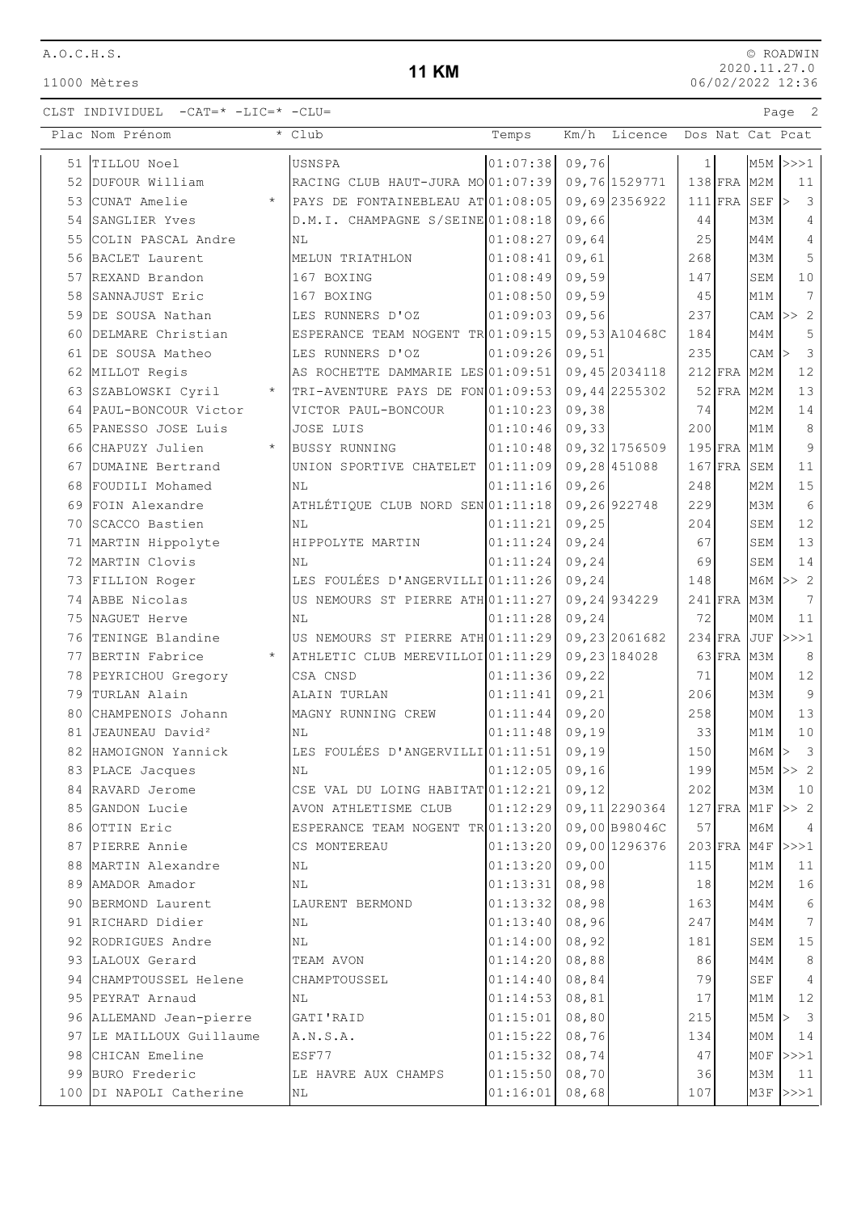### **11 KM**

|    | Plac Nom Prénom                  | * Club                                                          | Temps                    | Km/h        | Licence Dos Nat Cat Pcat |     |             |                 |                                       |
|----|----------------------------------|-----------------------------------------------------------------|--------------------------|-------------|--------------------------|-----|-------------|-----------------|---------------------------------------|
|    | 51 TILLOU Noel                   | USNSPA                                                          | 01:07:38                 | 09,76       |                          | 1   |             |                 | $MSM$ $>>$ 1                          |
| 52 | DUFOUR William                   | RACING CLUB HAUT-JURA MO01:07:39 09,76 1529771                  |                          |             |                          |     | $138$ FRA   | M <sub>2M</sub> | 11                                    |
| 53 | CUNAT Amelie<br>$\star$          | PAYS DE FONTAINEBLEAU AT 01:08:05                               |                          |             | 09,692356922             |     | $111$ $FRA$ | SEF             | $\overline{\mathbf{3}}$<br>$\vert$    |
|    | 54 SANGLIER Yves                 | D.M.I. CHAMPAGNE S/SEINE 01:08:18                               |                          | 09,66       |                          | 44  |             | M3M             | $\overline{4}$                        |
|    | 55 COLIN PASCAL Andre            | NL                                                              | 01:08:27                 | 09,64       |                          | 25  |             | M4M             | $\overline{4}$                        |
|    | 56 BACLET Laurent                | MELUN TRIATHLON                                                 | 01:08:41                 | 09,61       |                          | 268 |             | M3M             | 5                                     |
|    | 57 REXAND Brandon                | 167 BOXING                                                      | 01:08:49                 | 09,59       |                          | 147 |             | SEM             | 10                                    |
| 58 | SANNAJUST Eric                   | 167 BOXING                                                      | 01:08:50                 | 09,59       |                          | 45  |             | M1M             | 7                                     |
|    | 59 DE SOUSA Nathan               | LES RUNNERS D'OZ                                                | 01:09:03                 | 09,56       |                          | 237 |             |                 | CAM $ >> 2$                           |
| 60 | DELMARE Christian                | ESPERANCE TEAM NOGENT TR 01:09:15                               |                          |             | 09,53 A10468C            | 184 |             | M4M             | 5                                     |
| 61 | DE SOUSA Matheo                  | LES RUNNERS D'OZ                                                | 01:09:26                 | 09,51       |                          | 235 |             | CAM             | $\overline{3}$                        |
| 62 | MILLOT Regis                     | AS ROCHETTE DAMMARIE LES 01:09:51                               |                          |             | 09,45 2034118            |     | $212$ FRA   | M <sub>2M</sub> | 12                                    |
| 63 | SZABLOWSKI Cyril<br>$\star$      | TRI-AVENTURE PAYS DE FON 01:09:53                               |                          |             | 09,442255302             |     | $52$ FRA    | M <sub>2M</sub> | 13                                    |
|    | 64 PAUL-BONCOUR Victor           | VICTOR PAUL-BONCOUR                                             | 01:10:23                 | 09,38       |                          | 74  |             | M <sub>2M</sub> | 14                                    |
|    | 65 PANESSO JOSE Luis             | JOSE LUIS                                                       | 01:10:46                 | 09,33       |                          | 200 |             | M1M             | $\,8\,$                               |
|    | 66 CHAPUZY Julien<br>$\star$     | <b>BUSSY RUNNING</b>                                            | 01:10:48                 |             | 09,32 1756509            |     | $195$ FRA   | M1M             | $\mathsf 9$                           |
| 67 | DUMAINE Bertrand                 | UNION SPORTIVE CHATELET 01:11:09 09,28 451088                   |                          |             |                          |     | $167$ FRA   | SEM             | 11                                    |
|    | 68 FOUDILI Mohamed               | N <sub>L</sub>                                                  | 01:11:16                 | 09,26       |                          | 248 |             | M2M             | 15                                    |
|    | 69 FOIN Alexandre                | ATHLÉTIQUE CLUB NORD SEN 01:11:18                               |                          | 09,26922748 |                          | 229 |             | M3M             | $6\,$                                 |
| 70 | SCACCO Bastien                   | NL                                                              | 01:11:21                 | 09, 25      |                          | 204 |             | SEM             | 12                                    |
|    | 71 MARTIN Hippolyte              | HIPPOLYTE MARTIN                                                | 01:11:24                 | 09, 24      |                          | 67  |             | SEM             | 13                                    |
|    | 72 MARTIN Clovis                 | NL                                                              | 01:11:24                 | 09, 24      |                          | 69  |             | SEM             | 14                                    |
|    | 73 FILLION Roger                 | LES FOULÉES D'ANGERVILLI 01:11:26                               |                          | 09, 24      |                          | 148 |             |                 | $M6M \gg 2$                           |
|    | 74 ABBE Nicolas                  | US NEMOURS ST PIERRE ATH 01:11:27                               |                          |             | 09,24934229              |     | $241$ FRA   | МЗМ             | $7\phantom{.0}$                       |
|    | 75 NAGUET Herve                  | N <sub>L</sub>                                                  | 01:11:28                 | 09, 24      |                          | 72  |             | MOM             | 11                                    |
|    | 76 TENINGE Blandine              | US NEMOURS ST PIERRE ATH 01:11:29                               |                          |             | 09,23 2061682            |     | $234$ FRA   | <b>JUF</b>      | >>>1                                  |
|    | 77 BERTIN Fabrice<br>$\star$     | ATHLETIC CLUB MEREVILLOI 01:11:29                               |                          |             | 09, 23 184028            |     | $63$ FRA    | M3M             | 8                                     |
|    | 78 PEYRICHOU Gregory             | CSA CNSD                                                        | 01:11:36                 | 09,22       |                          | 71  |             | MOM             | 12                                    |
|    | 79 TURLAN Alain                  | ALAIN TURLAN                                                    | 01:11:41                 | 09, 21      |                          | 206 |             | M3M             | $\overline{9}$                        |
|    | 80 CHAMPENOIS Johann             | MAGNY RUNNING CREW                                              | 01:11:44                 | 09,20       |                          | 258 |             | M0M             | 13                                    |
| 81 | JEAUNEAU David <sup>2</sup>      | NL                                                              | 01:11:48                 | 09,19       |                          | 33  |             | M1M             | $10$                                  |
| 82 | HAMOIGNON Yannick                | LES FOULÉES D'ANGERVILLI 01:11:51                               |                          | 09,19       |                          | 150 |             | $M6M$ >         | $\overline{\mathbf{3}}$               |
|    | 83 PLACE Jacques                 | NL                                                              | 01:12:05 09,16           |             |                          | 199 |             |                 | $MSM$ >> 2                            |
|    | 84 RAVARD Jerome                 | CSE VAL DU LOING HABITAT $01:12:21$ 09,12                       |                          |             |                          | 202 |             | M3M             | 10                                    |
|    | 85 GANDON Lucie                  | AVON ATHLETISME CLUB                                            | 01:12:29  09,11  2290364 |             |                          | 57  |             |                 | $127$ FRA M1F $>> 2$                  |
|    | 86 OTTIN Eric<br>87 PIERRE Annie | ESPERANCE TEAM NOGENT TR 01:13:20 09,00 B98046C<br>CS MONTEREAU | $01:13:20$ 09,00 1296376 |             |                          |     |             | МбМ             | $\overline{4}$<br>$203$ FRA M4F $>>1$ |
|    | 88 MARTIN Alexandre              | NL                                                              | 01:13:20                 | 09,00       |                          | 115 |             | M1M             | 11                                    |
|    | 89 AMADOR Amador                 | ΝL                                                              | 01:13:31                 | 08,98       |                          | 18  |             | M2M             | 16                                    |
|    | 90 BERMOND Laurent               | LAURENT BERMOND                                                 | 01:13:32                 | 08,98       |                          | 163 |             | M4M             | $6\overline{6}$                       |
|    | 91 RICHARD Didier                | ΝL                                                              | $01:13:40$ 08,96         |             |                          | 247 |             | M4M             | $7\overline{ }$                       |
|    | 92 RODRIGUES Andre               | NL                                                              | $01:14:00$ 08,92         |             |                          | 181 |             | SEM             | 15                                    |
|    | 93 LALOUX Gerard                 | TEAM AVON                                                       | $01:14:20$ 08,88         |             |                          | 86  |             | M4M             | $\,8\,$                               |
|    | 94 CHAMPTOUSSEL Helene           | CHAMPTOUSSEL                                                    | 01:14:40                 | 08,84       |                          | 79  |             | SEF             | $\overline{4}$                        |
|    | 95 PEYRAT Arnaud                 | NL                                                              | 01:14:53                 | 08,81       |                          | 17  |             | M1M             | 12                                    |
|    | 96 ALLEMAND Jean-pierre          | GATI'RAID                                                       | 01:15:01                 | 08,80       |                          | 215 |             |                 | MSM > 3                               |
|    | 97 LE MAILLOUX Guillaume         | A.N.S.A.                                                        | $01:15:22$ 08,76         |             |                          | 134 |             | M0M             | 14                                    |
|    | 98 CHICAN Emeline                | ESF77                                                           | $01:15:32$ 08,74         |             |                          | 47  |             |                 | $MOF$ >>>1                            |
|    | 99 BURO Frederic                 | LE HAVRE AUX CHAMPS                                             | $01:15:50$ 08,70         |             |                          | 36  |             | M3M             | 11                                    |
|    | 100 DI NAPOLI Catherine          | NL                                                              | $01:16:01$ 08,68         |             |                          | 107 |             |                 | $M3F$ $>>$ 2                          |
|    |                                  |                                                                 |                          |             |                          |     |             |                 |                                       |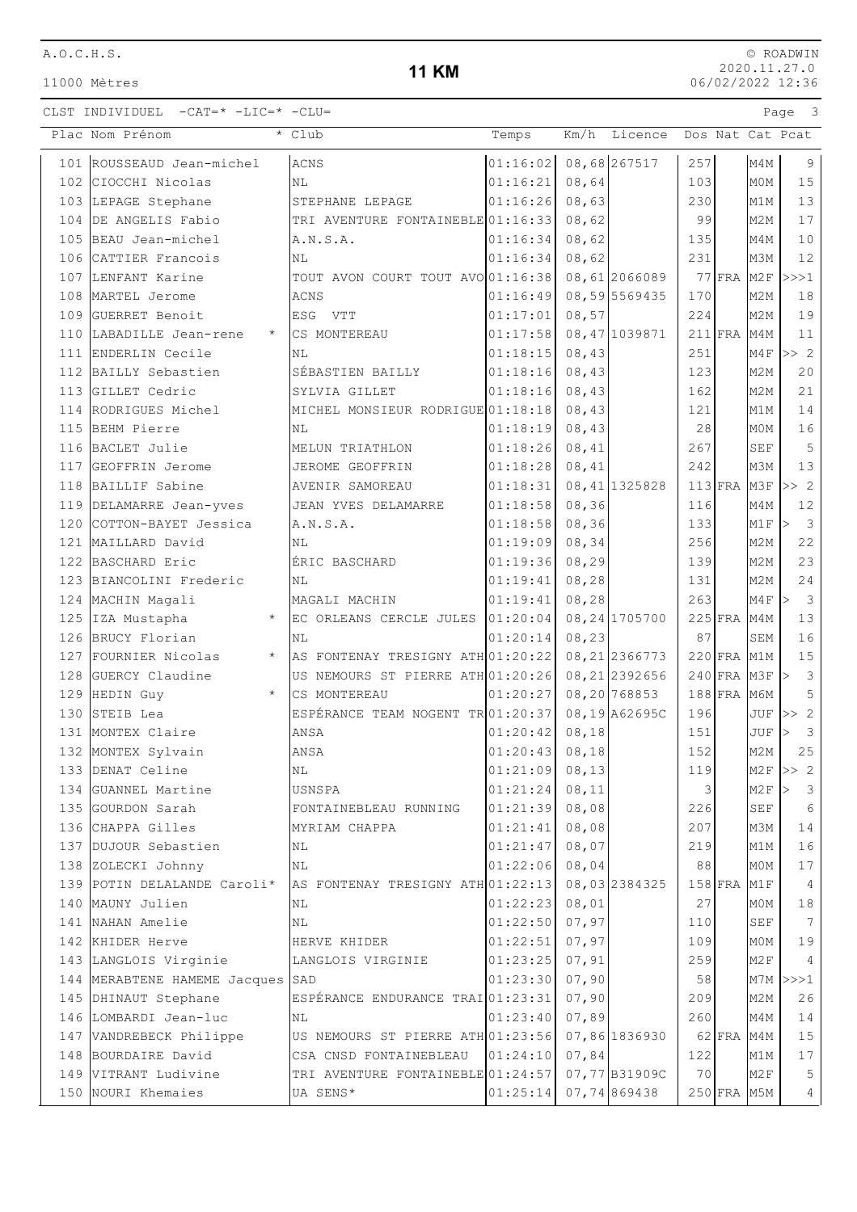11000 Mètres

### **11 KM**

|     | Plac Nom Prénom                  | * Club                            | Temps    | Km/h   | Licence        |     |               | Dos Nat Cat Pcat |                                             |
|-----|----------------------------------|-----------------------------------|----------|--------|----------------|-----|---------------|------------------|---------------------------------------------|
|     | 101 ROUSSEAUD Jean-michel        | <b>ACNS</b>                       | 01:16:02 |        | 08,68 267517   | 257 |               | M4M              | 9                                           |
|     | 102 CIOCCHI Nicolas              | NL                                | 01:16:21 | 08,64  |                | 103 |               | M0M              | 15                                          |
|     | 103 LEPAGE Stephane              | STEPHANE LEPAGE                   | 01:16:26 | 08,63  |                | 230 |               | M1M              | 13                                          |
| 104 | DE ANGELIS Fabio                 | TRI AVENTURE FONTAINEBLE 01:16:33 |          | 08,62  |                | 99  |               | M <sub>2M</sub>  | $17$                                        |
|     | 105 BEAU Jean-michel             | A.N.S.A.                          | 01:16:34 | 08,62  |                | 135 |               | M4M              | $10$                                        |
|     | 106 CATTIER Francois             | NL                                | 01:16:34 | 08,62  |                | 231 |               | M3M              | 12                                          |
|     | 107 LENFANT Karine               | TOUT AVON COURT TOUT AVO 01:16:38 |          |        | 08,61 2066089  |     | $77$ FRA M2F  |                  | >>>1                                        |
| 108 | MARTEL Jerome                    | <b>ACNS</b>                       | 01:16:49 |        | 08,59 5569435  | 170 |               | M2M              | 18                                          |
| 109 | GUERRET Benoit                   | ESG VTT                           | 01:17:01 | 08,57  |                | 224 |               | M <sub>2M</sub>  | 19                                          |
| 110 | LABADILLE Jean-rene<br>$\star$   | CS MONTEREAU                      | 01:17:58 |        | 08,47 1039871  |     | $211$ FRA M4M |                  | 11                                          |
|     | 111 ENDERLIN Cecile              | NL                                | 01:18:15 | 08,43  |                | 251 |               | M4F              | >> 2                                        |
|     | 112 BAILLY Sebastien             | SÉBASTIEN BAILLY                  | 01:18:16 | 08,43  |                | 123 |               | M <sub>2</sub> M | 20                                          |
|     | 113 GILLET Cedric                | SYLVIA GILLET                     | 01:18:16 | 08,43  |                | 162 |               | M2M              | 21                                          |
|     | 114 RODRIGUES Michel             | MICHEL MONSIEUR RODRIGUE 01:18:18 |          | 08,43  |                | 121 |               | M1M              | 14                                          |
|     | 115 BEHM Pierre                  | NL                                | 01:18:19 | 08,43  |                | 28  |               | MOM              | 16                                          |
|     | 116 BACLET Julie                 | MELUN TRIATHLON                   | 01:18:26 | 08,41  |                | 267 |               | SEF              | 5                                           |
|     | 117 GEOFFRIN Jerome              | JEROME GEOFFRIN                   | 01:18:28 | 08,41  |                | 242 |               | M3M              | 13                                          |
| 118 | BAILLIF Sabine                   | AVENIR SAMOREAU                   | 01:18:31 |        | 08, 41 1325828 |     | $113$ FRA M3F |                  | >> 2                                        |
|     | 119 DELAMARRE Jean-yves          | JEAN YVES DELAMARRE               | 01:18:58 | 08, 36 |                | 116 |               | M4M              | $12$                                        |
| 120 | COTTON-BAYET Jessica             | A.N.S.A.                          | 01:18:58 | 08, 36 |                | 133 |               | M1F              | $\overline{\mathbf{3}}$<br>$\triangleright$ |
| 121 | MAILLARD David                   | NL                                | 01:19:09 | 08,34  |                | 256 |               | M <sub>2</sub> M | 22                                          |
|     | 122 BASCHARD Eric                | ÉRIC BASCHARD                     | 01:19:36 | 08, 29 |                | 139 |               | M <sub>2</sub> M | 23                                          |
|     | 123 BIANCOLINI Frederic          | ΝL                                | 01:19:41 | 08, 28 |                | 131 |               | M2M              | 24                                          |
|     | 124 MACHIN Magali                | MAGALI MACHIN                     | 01:19:41 | 08, 28 |                | 263 |               | M4F              | $\overline{3}$<br>$\triangleright$          |
|     | 125 IZA Mustapha<br>$\star$      | EC ORLEANS CERCLE JULES 01:20:04  |          |        | 08, 24 1705700 |     | $225$ FRA     | M4M              | 13                                          |
|     | 126 BRUCY Florian                | NL                                | 01:20:14 | 08,23  |                | 87  |               | SEM              | 16                                          |
|     | $\star$<br>127 FOURNIER Nicolas  | AS FONTENAY TRESIGNY ATH 01:20:22 |          |        | 08, 21 2366773 |     | $220$ FRA M1M |                  | $15\,$                                      |
| 128 | GUERCY Claudine                  | US NEMOURS ST PIERRE ATH 01:20:26 |          |        | 08, 21 2392656 |     | $240$ FRA M3F |                  | $\mathbf{3}$<br> >                          |
|     | 129 HEDIN Guy<br>$\star$         | CS MONTEREAU                      | 01:20:27 |        | 08,20 768853   |     | $188$ FRA     | M6M              | 5                                           |
| 130 | STEIB Lea                        | ESPÉRANCE TEAM NOGENT TR 01:20:37 |          |        | 08,19 A62695C  | 196 |               | JUF              | $\overline{c}$<br>>>                        |
|     | 131 MONTEX Claire                | ANSA                              | 01:20:42 | 08,18  |                | 151 |               | JUF              | $\mathcal{S}$                               |
|     | 132 MONTEX Sylvain               | ANSA                              | 01:20:43 | 08, 18 |                | 152 |               | M2M              | 25                                          |
|     | 133 DENAT Celine                 | ΝL                                | 01:21:09 | 08, 13 |                | 119 |               | M2F              | $\overline{c}$<br>$\Rightarrow$             |
| 134 | GUANNEL Martine                  | USNSPA                            | 01:21:24 | 08, 11 |                | 3   |               | M <sub>2F</sub>  | 3                                           |
|     | 135 GOURDON Sarah                | FONTAINEBLEAU RUNNING             | 01:21:39 | 08,08  |                | 226 |               | <b>SEF</b>       | 6                                           |
|     | 136 CHAPPA Gilles                | MYRIAM CHAPPA                     | 01:21:41 | 08,08  |                | 207 |               | M3M              | 14                                          |
|     | 137 DUJOUR Sebastien             | ΝL                                | 01:21:47 | 08,07  |                | 219 |               | M1M              | 16                                          |
|     | 138 ZOLECKI Johnny               | ΝL                                | 01:22:06 | 08,04  |                | 88  |               | M0M              | 17                                          |
|     | 139 POTIN DELALANDE Caroli*      | AS FONTENAY TRESIGNY ATH 01:22:13 |          |        | 08,03 2384325  |     | $158$ FRA     | M1F              | 4                                           |
|     | 140 MAUNY Julien                 | ΝL                                | 01:22:23 | 08,01  |                | 27  |               | M0M              | 18                                          |
|     | 141 NAHAN Amelie                 | ΝL                                | 01:22:50 | 07,97  |                | 110 |               | <b>SEF</b>       | $7\phantom{.0}$                             |
|     | 142 KHIDER Herve                 | HERVE KHIDER                      | 01:22:51 | 07,97  |                | 109 |               | M0M              | 19                                          |
|     | 143 LANGLOIS Virginie            | LANGLOIS VIRGINIE                 | 01:23:25 | 07,91  |                | 259 |               | M2F              | 4                                           |
|     | 144 MERABTENE HAMEME Jacques SAD |                                   | 01:23:30 | 07,90  |                | 58  |               | M7M              | >>>1                                        |
|     | 145 DHINAUT Stephane             | ESPÉRANCE ENDURANCE TRAI 01:23:31 |          | 07,90  |                | 209 |               | M <sub>2</sub> M | 26                                          |
|     | 146 LOMBARDI Jean-luc            | NL                                | 01:23:40 | 07,89  |                | 260 |               | M4M              | 14                                          |
|     | 147 VANDREBECK Philippe          | US NEMOURS ST PIERRE ATH 01:23:56 |          |        | 07,86 1836930  |     | $62$ FRA      | M4M              | 15                                          |
|     | 148 BOURDAIRE David              | CSA CNSD FONTAINEBLEAU            | 01:24:10 | 07,84  |                | 122 |               | M1M              | 17                                          |
|     | 149 VITRANT Ludivine             | TRI AVENTURE FONTAINEBLE 01:24:57 |          |        | 07,77 B31909C  | 70  |               | M <sub>2F</sub>  | 5                                           |
|     | 150 NOURI Khemaies               | UA SENS*                          | 01:25:14 |        | 07,74869438    |     | 250 FRA M5M   |                  | 4                                           |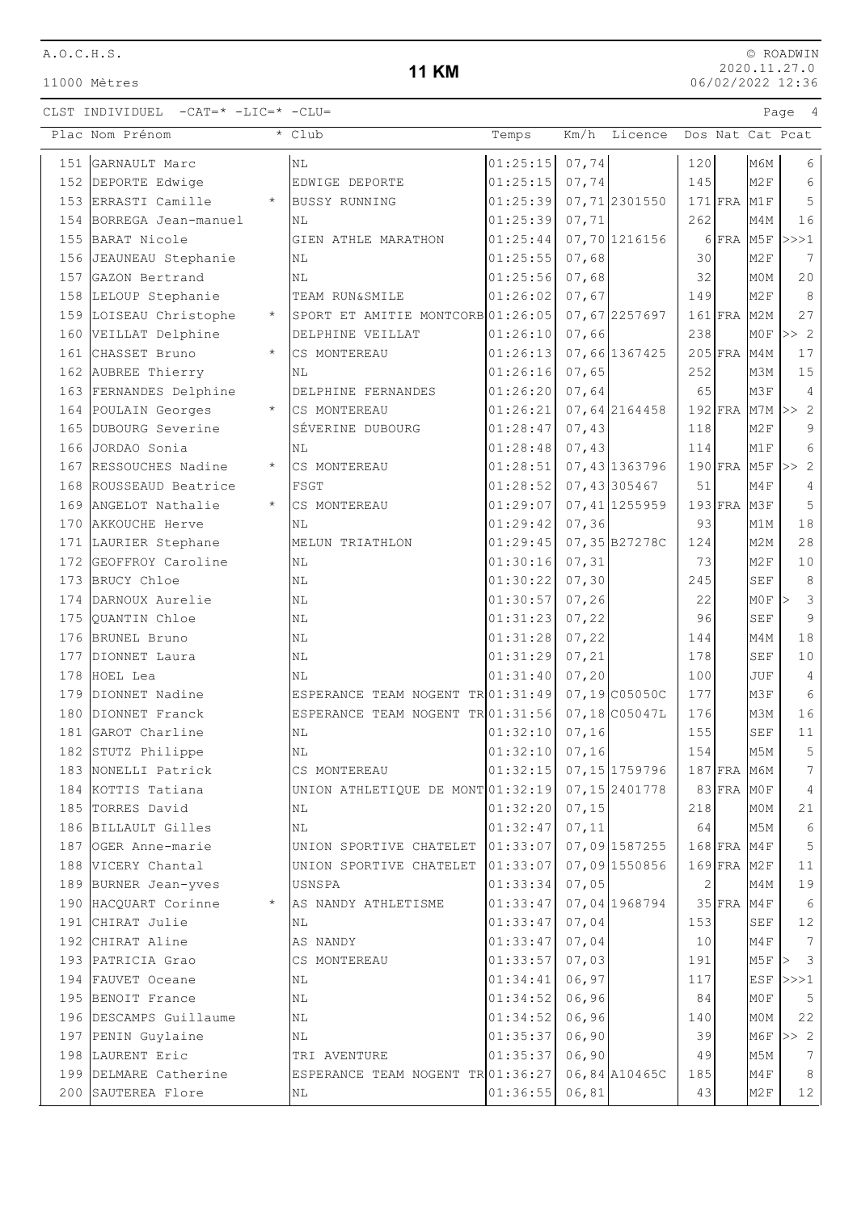## **11 KM**

|     | Plac Nom Prénom                   | * Club                            | Temps                       | Km/h           | Licence |              |           | Dos Nat Cat Pcat |                               |
|-----|-----------------------------------|-----------------------------------|-----------------------------|----------------|---------|--------------|-----------|------------------|-------------------------------|
|     | 151 GARNAULT Marc                 | <b>NL</b>                         | 01:25:15                    | 07,74          |         | 120          |           | МбМ              | 6                             |
|     | 152 DEPORTE Edwige                | EDWIGE DEPORTE                    | 01:25:15                    | 07,74          |         | 145          |           | M2F              | 6                             |
|     | 153 ERRASTI Camille<br>$\star$    | <b>BUSSY RUNNING</b>              | 01:25:39                    | 07,71 2301550  |         |              | $171$ FRA | M1F              | 5                             |
|     | 154 BORREGA Jean-manuel           | NL                                | 01:25:39                    | 07,71          |         | 262          |           | M4M              | 16                            |
|     | 155 BARAT Nicole                  | GIEN ATHLE MARATHON               | 01:25:44                    | 07,70 1216156  |         |              | 6 FRA M5F |                  | >>>1                          |
|     | 156 JEAUNEAU Stephanie            | ΝL                                | 01:25:55                    | 07,68          |         | 30           |           | M2F              | 7                             |
|     | 157 GAZON Bertrand                | ΝL                                | 01:25:56                    | 07,68          |         | 32           |           | M0M              | 20                            |
|     | 158 LELOUP Stephanie              | TEAM RUN&SMILE                    | 01:26:02                    | 07,67          |         | 149          |           | M2F              | 8                             |
|     | 159 LOISEAU Christophe<br>$\star$ | SPORT ET AMITIE MONTCORB 01:26:05 |                             | 07,67 2257697  |         |              | $161$ FRA | M2M              | 27                            |
|     | 160 VEILLAT Delphine              | DELPHINE VEILLAT                  | 01:26:10                    | 07,66          |         | 238          |           | M0F              | >> 2                          |
|     | 161 CHASSET Bruno<br>$\star$      | CS MONTEREAU                      | 01:26:13                    | 07,66 1367425  |         |              | $205$ FRA | M4M              | 17                            |
|     | 162 AUBREE Thierry                | ΝL                                | 01:26:16                    | 07,65          |         | 252          |           | M3M              | 15                            |
|     | 163 FERNANDES Delphine            | DELPHINE FERNANDES                | 01:26:20                    | 07,64          |         | 65           |           | M3F              | 4                             |
|     | 164 POULAIN Georges<br>$\star$    | CS MONTEREAU                      | 01:26:21                    | 07,64 2164458  |         |              | $192$ FRA |                  | $M7M \gg 2$                   |
|     | 165 DUBOURG Severine              | SÉVERINE DUBOURG                  | 01:28:47                    | 07,43          |         | 118          |           | M2F              | 9                             |
|     | 166 JORDAO Sonia                  | ΝL                                | 01:28:48                    | 07,43          |         | 114          |           | M1F              | 6                             |
|     | 167 RESSOUCHES Nadine<br>$^\star$ | CS MONTEREAU                      | 01:28:51                    | 07,43 1363796  |         |              | $190$ FRA | M5F              | >> 2                          |
| 168 | ROUSSEAUD Beatrice                | FSGT                              | 01:28:52                    | 07,43305467    |         | 51           |           | M4F              | 4                             |
|     | 169 ANGELOT Nathalie<br>$\star$   | CS MONTEREAU                      | 01:29:07                    | 07, 41 1255959 |         |              | $193$ FRA | M3F              | 5                             |
|     | 170 AKKOUCHE Herve                | NL                                | 01:29:42                    | 07, 36         |         | 93           |           | M1M              | 18                            |
|     | 171 LAURIER Stephane              | MELUN TRIATHLON                   | 01:29:45                    | 07,35B27278C   |         | 124          |           | M2M              | 28                            |
| 172 | GEOFFROY Caroline                 | ΝL                                | 01:30:16                    | 07, 31         |         | 73           |           | M <sub>2F</sub>  | 10                            |
| 173 | BRUCY Chloe                       | NL                                | 01:30:22                    | 07, 30         |         | 245          |           | <b>SEF</b>       | 8                             |
|     | 174 DARNOUX Aurelie               | NL                                | 01:30:57                    | 07, 26         |         | 22           |           | M0F              | $\mathcal{S}$<br>$\mathbf{L}$ |
| 175 | QUANTIN Chloe                     | ΝL                                | 01:31:23                    | 07, 22         |         | 96           |           | <b>SEF</b>       | $\overline{9}$                |
|     | 176 BRUNEL Bruno                  | NL                                | 01:31:28                    | 07, 22         |         | 144          |           | M4M              | 18                            |
|     | 177 DIONNET Laura                 | ΝL                                | 01:31:29                    | 07, 21         |         | 178          |           | SEF              | 10                            |
|     | 178 HOEL Lea                      | NL                                | 01:31:40                    | 07,20          |         | 100          |           | JUF              | 4                             |
|     | 179 DIONNET Nadine                | ESPERANCE TEAM NOGENT TR 01:31:49 |                             | 07,19 C05050C  |         | 177          |           | M3F              | 6                             |
|     | 180 DIONNET Franck                | ESPERANCE TEAM NOGENT TR 01:31:56 |                             | 07,18 C05047L  |         | 176          |           | M3M              | 16                            |
|     | 181 GAROT Charline                | NL                                | 01:32:10                    | 07, 16         |         | 155          |           | <b>SEF</b>       | 11                            |
|     | 182 STUTZ Philippe                | ΝL                                | 01:32:10                    | 07, 16         |         | 154          |           | M5M              | 5                             |
|     | 183 NONELLI Patrick               | CS MONTEREAU                      | $ 01:32:15 $ 07, 15 1759796 |                |         |              |           | $187$ FRA M6M    | 7                             |
|     | 184 KOTTIS Tatiana                | UNION ATHLETIQUE DE MONT 01:32:19 |                             | 07, 15 2401778 |         |              | 83 FRA    | M0F              | 4                             |
|     | 185 TORRES David                  | NL                                | 01:32:20                    | 07, 15         |         | 218          |           | M0M              | 21                            |
|     | 186 BILLAULT Gilles               | ΝL                                | 01:32:47                    | 07, 11         |         | 64           |           | M5M              | 6                             |
|     | 187 OGER Anne-marie               | UNION SPORTIVE CHATELET 01:33:07  |                             | 07,09 1587255  |         |              | $168$ FRA | M4F              | 5                             |
|     | 188 VICERY Chantal                | UNION SPORTIVE CHATELET           | 01:33:07                    | 07,09 1550856  |         |              | $169$ FRA | M2F              | 11                            |
|     | 189 BURNER Jean-yves              | USNSPA                            | 01:33:34                    | 07,05          |         | $\mathbf{2}$ |           | M4M              | 19                            |
|     | 190 HACQUART Corinne              | AS NANDY ATHLETISME               | 01:33:47                    | 07,04 1968794  |         |              | $35$ FRA  | M4F              | 6                             |
|     | 191 CHIRAT Julie                  | ΝL                                | 01:33:47                    | 07,04          |         | 153          |           | SEF              | $12$                          |
|     | 192 CHIRAT Aline                  | AS NANDY                          | 01:33:47                    | 07,04          |         | 10           |           | M4F              | 7                             |
|     | 193 PATRICIA Grao                 | CS MONTEREAU                      | 01:33:57                    | 07,03          |         | 191          |           | M5F              | $\overline{\mathbf{3}}$<br>>  |
|     | 194 FAUVET Oceane                 | ΝL                                | 01:34:41                    | 06,97          |         | 117          |           | ESF              | >>>1                          |
|     | 195 BENOIT France                 | NL                                | 01:34:52                    | 06,96          |         | 84           |           | MOF              | $\overline{5}$                |
|     | 196 DESCAMPS Guillaume            | ΝL                                | 01:34:52                    | 06,96          |         | 140          |           | M0M              | 22                            |
|     | 197 PENIN Guylaine                | ΝL                                | 01:35:37                    | 06,90          |         | 39           |           | M6F              | >> 2                          |
|     | 198 LAURENT Eric                  | TRI AVENTURE                      | 01:35:37                    | 06,90          |         | 49           |           | M5M              | 7                             |
|     | 199 DELMARE Catherine             | ESPERANCE TEAM NOGENT TR 01:36:27 |                             | 06,84 A10465C  |         | 185          |           | M4F              | 8                             |
|     | 200 SAUTEREA Flore                | ΝL                                | 01:36:55                    | 06,81          |         | 43           |           | M2F              | 12                            |